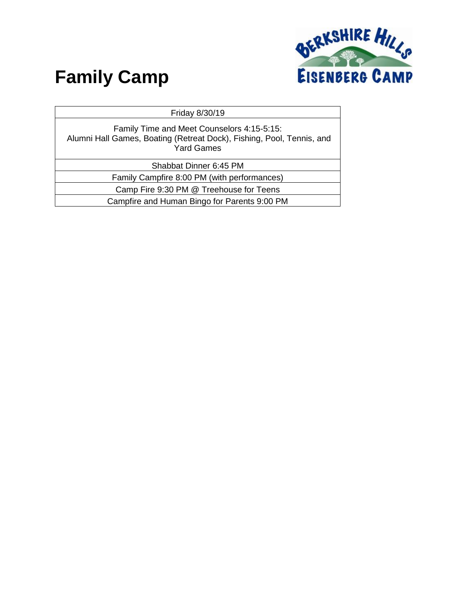

| Friday 8/30/19                                                                                                                           |
|------------------------------------------------------------------------------------------------------------------------------------------|
| Family Time and Meet Counselors 4:15-5:15:<br>Alumni Hall Games, Boating (Retreat Dock), Fishing, Pool, Tennis, and<br><b>Yard Games</b> |
| Shabbat Dinner 6:45 PM                                                                                                                   |
| Family Campfire 8:00 PM (with performances)                                                                                              |
| Camp Fire 9:30 PM @ Treehouse for Teens                                                                                                  |
| Campfire and Human Bingo for Parents 9:00 PM                                                                                             |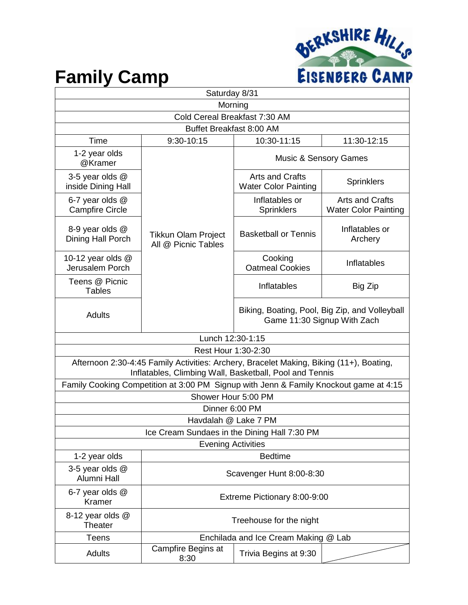

| Saturday 8/31                                                                                                                                      |                                                   |                                                                               |                                                       |  |  |
|----------------------------------------------------------------------------------------------------------------------------------------------------|---------------------------------------------------|-------------------------------------------------------------------------------|-------------------------------------------------------|--|--|
| Morning                                                                                                                                            |                                                   |                                                                               |                                                       |  |  |
| Cold Cereal Breakfast 7:30 AM                                                                                                                      |                                                   |                                                                               |                                                       |  |  |
| Buffet Breakfast 8:00 AM                                                                                                                           |                                                   |                                                                               |                                                       |  |  |
| Time                                                                                                                                               | 9:30-10:15                                        | 10:30-11:15                                                                   | 11:30-12:15                                           |  |  |
| 1-2 year olds<br>@Kramer                                                                                                                           |                                                   | <b>Music &amp; Sensory Games</b>                                              |                                                       |  |  |
| 3-5 year olds @<br>inside Dining Hall                                                                                                              | <b>Tikkun Olam Project</b><br>All @ Picnic Tables | <b>Arts and Crafts</b><br><b>Water Color Painting</b>                         | <b>Sprinklers</b>                                     |  |  |
| 6-7 year olds @<br><b>Campfire Circle</b>                                                                                                          |                                                   | Inflatables or<br><b>Sprinklers</b>                                           | <b>Arts and Crafts</b><br><b>Water Color Painting</b> |  |  |
| 8-9 year olds @<br>Dining Hall Porch                                                                                                               |                                                   | <b>Basketball or Tennis</b>                                                   | Inflatables or<br>Archery                             |  |  |
| 10-12 year olds @<br>Jerusalem Porch                                                                                                               |                                                   | Cooking<br><b>Oatmeal Cookies</b>                                             | Inflatables                                           |  |  |
| Teens @ Picnic<br><b>Tables</b>                                                                                                                    |                                                   | Inflatables                                                                   | Big Zip                                               |  |  |
| <b>Adults</b>                                                                                                                                      |                                                   | Biking, Boating, Pool, Big Zip, and Volleyball<br>Game 11:30 Signup With Zach |                                                       |  |  |
| Lunch 12:30-1:15                                                                                                                                   |                                                   |                                                                               |                                                       |  |  |
| Rest Hour 1:30-2:30                                                                                                                                |                                                   |                                                                               |                                                       |  |  |
| Afternoon 2:30-4:45 Family Activities: Archery, Bracelet Making, Biking (11+), Boating,<br>Inflatables, Climbing Wall, Basketball, Pool and Tennis |                                                   |                                                                               |                                                       |  |  |
| Family Cooking Competition at 3:00 PM Signup with Jenn & Family Knockout game at 4:15                                                              |                                                   |                                                                               |                                                       |  |  |
| Shower Hour 5:00 PM                                                                                                                                |                                                   |                                                                               |                                                       |  |  |
| Dinner 6:00 PM                                                                                                                                     |                                                   |                                                                               |                                                       |  |  |
| Havdalah @ Lake 7 PM                                                                                                                               |                                                   |                                                                               |                                                       |  |  |
| Ice Cream Sundaes in the Dining Hall 7:30 PM                                                                                                       |                                                   |                                                                               |                                                       |  |  |
| <b>Evening Activities</b>                                                                                                                          |                                                   |                                                                               |                                                       |  |  |
| 1-2 year olds                                                                                                                                      | <b>Bedtime</b>                                    |                                                                               |                                                       |  |  |
| 3-5 year olds @<br>Alumni Hall                                                                                                                     | Scavenger Hunt 8:00-8:30                          |                                                                               |                                                       |  |  |
| 6-7 year olds @<br>Kramer                                                                                                                          | Extreme Pictionary 8:00-9:00                      |                                                                               |                                                       |  |  |
| 8-12 year olds @<br>Theater                                                                                                                        | Treehouse for the night                           |                                                                               |                                                       |  |  |
| Teens                                                                                                                                              | Enchilada and Ice Cream Making @ Lab              |                                                                               |                                                       |  |  |
| Adults                                                                                                                                             | Campfire Begins at<br>8:30                        | Trivia Begins at 9:30                                                         |                                                       |  |  |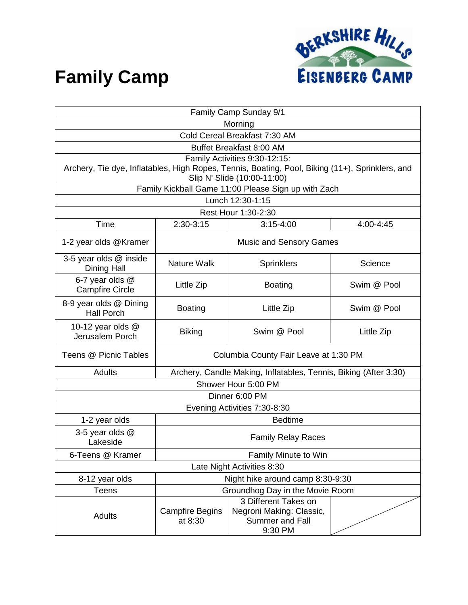

| Family Camp Sunday 9/1                                                                                                                                          |                                                                  |                                                                                |             |  |  |
|-----------------------------------------------------------------------------------------------------------------------------------------------------------------|------------------------------------------------------------------|--------------------------------------------------------------------------------|-------------|--|--|
| Morning                                                                                                                                                         |                                                                  |                                                                                |             |  |  |
| Cold Cereal Breakfast 7:30 AM                                                                                                                                   |                                                                  |                                                                                |             |  |  |
| Buffet Breakfast 8:00 AM                                                                                                                                        |                                                                  |                                                                                |             |  |  |
| Family Activities 9:30-12:15:<br>Archery, Tie dye, Inflatables, High Ropes, Tennis, Boating, Pool, Biking (11+), Sprinklers, and<br>Slip N' Slide (10:00-11:00) |                                                                  |                                                                                |             |  |  |
| Family Kickball Game 11:00 Please Sign up with Zach                                                                                                             |                                                                  |                                                                                |             |  |  |
| Lunch 12:30-1:15                                                                                                                                                |                                                                  |                                                                                |             |  |  |
|                                                                                                                                                                 | Rest Hour 1:30-2:30                                              |                                                                                |             |  |  |
| Time                                                                                                                                                            | $2:30-3:15$                                                      | $3:15 - 4:00$                                                                  | 4:00-4:45   |  |  |
| 1-2 year olds @Kramer                                                                                                                                           | <b>Music and Sensory Games</b>                                   |                                                                                |             |  |  |
| 3-5 year olds @ inside<br>Dining Hall                                                                                                                           | <b>Nature Walk</b>                                               | <b>Sprinklers</b>                                                              | Science     |  |  |
| 6-7 year olds @<br><b>Campfire Circle</b>                                                                                                                       | Little Zip                                                       | <b>Boating</b>                                                                 | Swim @ Pool |  |  |
| 8-9 year olds @ Dining<br><b>Hall Porch</b>                                                                                                                     | <b>Boating</b>                                                   | Little Zip                                                                     | Swim @ Pool |  |  |
| 10-12 year olds @<br>Jerusalem Porch                                                                                                                            | <b>Biking</b>                                                    | Swim @ Pool                                                                    | Little Zip  |  |  |
| Teens @ Picnic Tables                                                                                                                                           | Columbia County Fair Leave at 1:30 PM                            |                                                                                |             |  |  |
| Adults                                                                                                                                                          | Archery, Candle Making, Inflatables, Tennis, Biking (After 3:30) |                                                                                |             |  |  |
| Shower Hour 5:00 PM                                                                                                                                             |                                                                  |                                                                                |             |  |  |
| Dinner 6:00 PM                                                                                                                                                  |                                                                  |                                                                                |             |  |  |
| Evening Activities 7:30-8:30                                                                                                                                    |                                                                  |                                                                                |             |  |  |
| 1-2 year olds                                                                                                                                                   | <b>Bedtime</b>                                                   |                                                                                |             |  |  |
| 3-5 year olds @<br>Lakeside                                                                                                                                     | <b>Family Relay Races</b>                                        |                                                                                |             |  |  |
| 6-Teens @ Kramer                                                                                                                                                | Family Minute to Win                                             |                                                                                |             |  |  |
| Late Night Activities 8:30                                                                                                                                      |                                                                  |                                                                                |             |  |  |
| 8-12 year olds                                                                                                                                                  | Night hike around camp 8:30-9:30                                 |                                                                                |             |  |  |
| <b>Teens</b>                                                                                                                                                    | Groundhog Day in the Movie Room                                  |                                                                                |             |  |  |
| <b>Adults</b>                                                                                                                                                   | <b>Campfire Begins</b><br>at 8:30                                | 3 Different Takes on<br>Negroni Making: Classic,<br>Summer and Fall<br>9:30 PM |             |  |  |